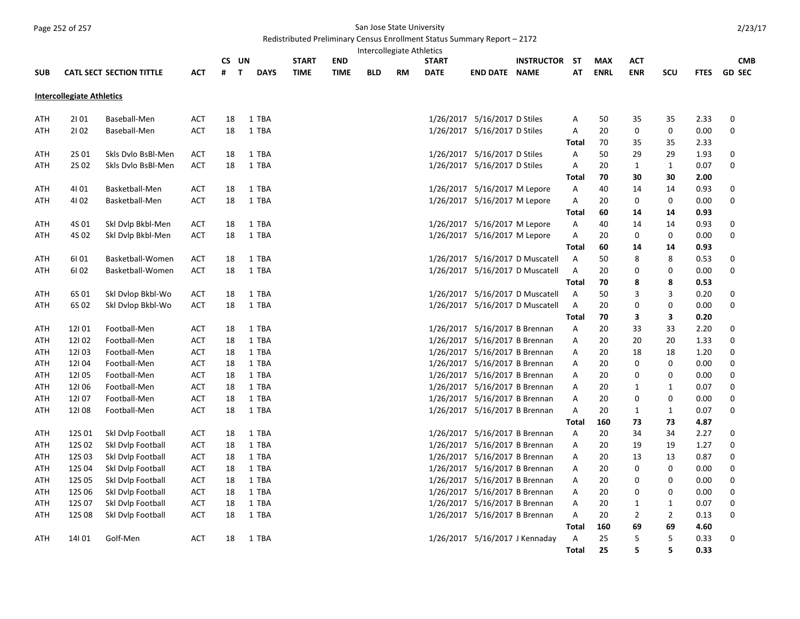## Page 252 of 257 San Jose State University

## Redistributed Preliminary Census Enrollment Status Summary Report – 2172

| Intercollegiate Athletics<br>UN<br><b>INSTRUCTOR</b> |                                  |                                 |                          |          |                             |              |             |            |           |              |                                                                |                                 |                   |             |                      |                     |              |               |
|------------------------------------------------------|----------------------------------|---------------------------------|--------------------------|----------|-----------------------------|--------------|-------------|------------|-----------|--------------|----------------------------------------------------------------|---------------------------------|-------------------|-------------|----------------------|---------------------|--------------|---------------|
|                                                      |                                  |                                 |                          | CS.      |                             | <b>START</b> | <b>END</b>  |            |           | <b>START</b> |                                                                |                                 | -ST               | <b>MAX</b>  | ACT                  |                     |              | <b>CMB</b>    |
| <b>SUB</b>                                           |                                  | <b>CATL SECT SECTION TITTLE</b> | ACT                      | #        | $\mathbf{T}$<br><b>DAYS</b> | <b>TIME</b>  | <b>TIME</b> | <b>BLD</b> | <b>RM</b> | <b>DATE</b>  | <b>END DATE NAME</b>                                           |                                 | AT                | <b>ENRL</b> | <b>ENR</b>           | <b>SCU</b>          | <b>FTES</b>  | <b>GD SEC</b> |
|                                                      | <b>Intercollegiate Athletics</b> |                                 |                          |          |                             |              |             |            |           |              |                                                                |                                 |                   |             |                      |                     |              |               |
| ATH                                                  | 2101                             | Baseball-Men                    | ACT                      | 18       | 1 TBA                       |              |             |            |           |              | 1/26/2017 5/16/2017 D Stiles                                   |                                 | Α                 | 50          | 35                   | 35                  | 2.33         | 0             |
| ATH                                                  | 2102                             | Baseball-Men                    | <b>ACT</b>               | 18       | 1 TBA                       |              |             |            |           |              | 1/26/2017 5/16/2017 D Stiles                                   |                                 | Α                 | 20          | 0                    | $\pmb{0}$           | 0.00         | 0             |
|                                                      |                                  |                                 |                          |          |                             |              |             |            |           |              |                                                                |                                 | Total             | 70          | 35                   | 35                  | 2.33         |               |
| ATH                                                  | 2S 01                            | Skls Dvlo BsBl-Men              | <b>ACT</b>               | 18       | 1 TBA                       |              |             |            |           |              | 1/26/2017 5/16/2017 D Stiles                                   |                                 | Α                 | 50          | 29                   | 29                  | 1.93         | 0             |
| ATH                                                  | 2S 02                            | Skls Dvlo BsBl-Men              | <b>ACT</b>               | 18       | 1 TBA                       |              |             |            |           |              | 1/26/2017 5/16/2017 D Stiles                                   |                                 | Α                 | 20          | $\mathbf{1}$         | $\mathbf{1}$        | 0.07         | 0             |
|                                                      |                                  |                                 |                          |          |                             |              |             |            |           |              |                                                                |                                 | <b>Total</b>      | 70          | 30                   | 30                  | 2.00         |               |
| ATH                                                  | 4101                             | Basketball-Men                  | ACT                      | 18       | 1 TBA                       |              |             |            |           |              | 1/26/2017 5/16/2017 M Lepore                                   |                                 | A                 | 40          | 14                   | 14                  | 0.93         | 0             |
| ATH                                                  | 4102                             | Basketball-Men                  | ACT                      | 18       | 1 TBA                       |              |             |            |           |              | 1/26/2017 5/16/2017 M Lepore                                   |                                 | Α                 | 20          | 0                    | 0                   | 0.00         | 0             |
|                                                      |                                  |                                 |                          |          |                             |              |             |            |           |              |                                                                |                                 | Total             | 60          | 14                   | 14                  | 0.93         |               |
| ATH                                                  | 4S 01                            | Skl Dvlp Bkbl-Men               | <b>ACT</b>               | 18       | 1 TBA                       |              |             |            |           |              | 1/26/2017 5/16/2017 M Lepore                                   |                                 | Α                 | 40          | 14                   | 14                  | 0.93         | 0             |
| ATH                                                  | 4S 02                            | Skl Dvlp Bkbl-Men               | <b>ACT</b>               | 18       | 1 TBA                       |              |             |            |           |              | 1/26/2017 5/16/2017 M Lepore                                   |                                 | A                 | 20          | 0                    | 0                   | 0.00         | 0             |
|                                                      |                                  |                                 |                          |          |                             |              |             |            |           |              |                                                                |                                 | <b>Total</b>      | 60          | 14                   | 14                  | 0.93         |               |
| ATH                                                  | 6101                             | Basketball-Women                | <b>ACT</b>               | 18       | 1 TBA                       |              |             |            |           |              |                                                                | 1/26/2017 5/16/2017 D Muscatell | Α                 | 50          | 8                    | 8                   | 0.53         | 0             |
| ATH                                                  | 6102                             | Basketball-Women                | <b>ACT</b>               | 18       | 1 TBA                       |              |             |            |           |              |                                                                | 1/26/2017 5/16/2017 D Muscatell | A                 | 20          | 0                    | 0                   | 0.00         | 0             |
|                                                      |                                  |                                 |                          |          |                             |              |             |            |           |              |                                                                |                                 | Total             | 70          | 8                    | 8                   | 0.53         |               |
| ATH                                                  | 6S 01                            | Skl Dvlop Bkbl-Wo               | ACT                      | 18       | 1 TBA                       |              |             |            |           |              |                                                                | 1/26/2017 5/16/2017 D Muscatell | Α                 | 50          | 3                    | 3                   | 0.20         | 0             |
| ATH                                                  | 6S 02                            | Skl Dvlop Bkbl-Wo               | <b>ACT</b>               | 18       | 1 TBA                       |              |             |            |           |              |                                                                | 1/26/2017 5/16/2017 D Muscatell | A                 | 20          | 0                    | 0                   | 0.00         | 0             |
|                                                      |                                  |                                 |                          |          |                             |              |             |            |           |              |                                                                |                                 | <b>Total</b>      | 70          | 3                    | 3                   | 0.20         |               |
| ATH                                                  | 12101                            | Football-Men                    | <b>ACT</b>               | 18       | 1 TBA                       |              |             |            |           |              | 1/26/2017 5/16/2017 B Brennan                                  |                                 | A                 | 20          | 33                   | 33                  | 2.20         | 0             |
| ATH                                                  | 12102                            | Football-Men                    | ACT                      | 18       | 1 TBA                       |              |             |            |           |              | 1/26/2017 5/16/2017 B Brennan                                  |                                 | Α                 | 20          | 20                   | 20                  | 1.33         | 0             |
| ATH                                                  | 12103                            | Football-Men                    | <b>ACT</b>               | 18       | 1 TBA                       |              |             |            |           |              | 1/26/2017 5/16/2017 B Brennan                                  |                                 | Α                 | 20          | 18                   | 18                  | 1.20         | 0             |
| ATH                                                  | 12104                            | Football-Men                    | <b>ACT</b>               | 18       | 1 TBA                       |              |             |            |           |              | 1/26/2017 5/16/2017 B Brennan                                  |                                 | A                 | 20          | 0                    | 0                   | 0.00         | 0             |
| ATH                                                  | 12105                            | Football-Men                    | ACT                      | 18       | 1 TBA                       |              |             |            |           |              | 1/26/2017 5/16/2017 B Brennan                                  |                                 | A                 | 20          | 0                    | 0                   | 0.00         | 0             |
| ATH                                                  | 12106                            | Football-Men                    | ACT                      | 18       | 1 TBA                       |              |             |            |           |              | 1/26/2017 5/16/2017 B Brennan                                  |                                 | Α                 | 20          | $\mathbf{1}$         | 1                   | 0.07         | 0             |
| ATH                                                  | 12107                            | Football-Men                    | <b>ACT</b>               | 18       | 1 TBA                       |              |             |            |           |              | 1/26/2017 5/16/2017 B Brennan                                  |                                 | Α                 | 20          | 0                    | 0                   | 0.00         | 0             |
| ATH                                                  | 12108                            | Football-Men                    | <b>ACT</b>               | 18       | 1 TBA                       |              |             |            |           |              | 1/26/2017 5/16/2017 B Brennan                                  |                                 | A                 | 20          | $\mathbf{1}$         | 1                   | 0.07         | 0             |
|                                                      |                                  |                                 |                          |          |                             |              |             |            |           |              |                                                                |                                 | Total             | 160         | 73                   | 73                  | 4.87         |               |
| ATH                                                  | 12S 01                           | Skl Dvlp Football               | <b>ACT</b>               | 18       | 1 TBA                       |              |             |            |           |              | 1/26/2017 5/16/2017 B Brennan                                  |                                 | Α                 | 20          | 34                   | 34                  | 2.27         | 0             |
| ATH                                                  | 12S 02                           | Skl Dvlp Football               | ACT                      | 18       | 1 TBA                       |              |             |            |           |              | 1/26/2017 5/16/2017 B Brennan                                  |                                 | Α                 | 20          | 19                   | 19                  | 1.27         | 0             |
| ATH                                                  | 12S 03                           | Skl Dvlp Football               | <b>ACT</b>               | 18       | 1 TBA                       |              |             |            |           |              | 1/26/2017 5/16/2017 B Brennan                                  |                                 | Α                 | 20          | 13                   | 13                  | 0.87         | 0             |
| ATH                                                  | 12S 04                           | Skl Dvlp Football               | ACT                      | 18       | 1 TBA                       |              |             |            |           |              | 1/26/2017 5/16/2017 B Brennan                                  |                                 | Α                 | 20          | 0                    | 0                   | 0.00         | 0             |
| ATH                                                  | 12S 05                           | Skl Dvlp Football               | <b>ACT</b>               | 18       | 1 TBA                       |              |             |            |           |              | 1/26/2017 5/16/2017 B Brennan                                  |                                 | Α                 | 20          | 0                    | 0                   | 0.00         | 0             |
| ATH                                                  | 12S 06<br>12S 07                 | Skl Dvlp Football               | <b>ACT</b><br><b>ACT</b> | 18<br>18 | 1 TBA<br>1 TBA              |              |             |            |           |              | 1/26/2017 5/16/2017 B Brennan<br>1/26/2017 5/16/2017 B Brennan |                                 | Α                 | 20<br>20    | 0<br>$\mathbf{1}$    | 0                   | 0.00<br>0.07 | 0<br>0        |
| ATH                                                  |                                  | Skl Dvlp Football               |                          |          |                             |              |             |            |           |              |                                                                |                                 | Α                 |             |                      | 1<br>$\overline{2}$ |              |               |
| ATH                                                  | 12S 08                           | Skl Dvlp Football               | <b>ACT</b>               | 18       | 1 TBA                       |              |             |            |           |              | 1/26/2017 5/16/2017 B Brennan                                  |                                 | A<br><b>Total</b> | 20<br>160   | $\overline{2}$<br>69 | 69                  | 0.13<br>4.60 | 0             |
| ATH                                                  | 14101                            | Golf-Men                        | <b>ACT</b>               | 18       | 1 TBA                       |              |             |            |           |              | 1/26/2017 5/16/2017 J Kennaday                                 |                                 | Α                 | 25          | 5                    | 5                   | 0.33         | 0             |
|                                                      |                                  |                                 |                          |          |                             |              |             |            |           |              |                                                                |                                 | <b>Total</b>      | 25          | 5                    | 5                   | 0.33         |               |
|                                                      |                                  |                                 |                          |          |                             |              |             |            |           |              |                                                                |                                 |                   |             |                      |                     |              |               |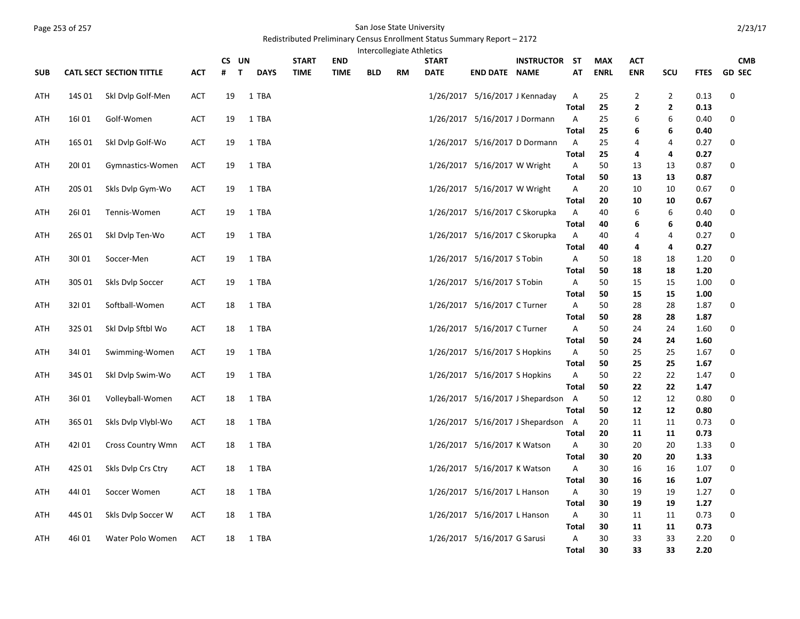## Page 253 of 257 San Jose State University

## Redistributed Preliminary Census Enrollment Status Summary Report – 2172

|            |        |                                 |            | CS UN             |             | <b>START</b> | <b>END</b>  | Intercollegiate Athletics |    | <b>START</b> |                                | <b>INSTRUCTOR ST</b>               |              | <b>MAX</b>  | <b>ACT</b>     |                |              | <b>CMB</b>    |
|------------|--------|---------------------------------|------------|-------------------|-------------|--------------|-------------|---------------------------|----|--------------|--------------------------------|------------------------------------|--------------|-------------|----------------|----------------|--------------|---------------|
| <b>SUB</b> |        | <b>CATL SECT SECTION TITTLE</b> | <b>ACT</b> | #<br>$\mathbf{T}$ | <b>DAYS</b> | <b>TIME</b>  | <b>TIME</b> | <b>BLD</b>                | RM | <b>DATE</b>  | <b>END DATE NAME</b>           |                                    | AT           | <b>ENRL</b> | <b>ENR</b>     | SCU            | <b>FTES</b>  | <b>GD SEC</b> |
|            |        |                                 |            |                   |             |              |             |                           |    |              |                                |                                    |              |             |                |                |              |               |
| ATH        | 14S 01 | Skl Dvlp Golf-Men               | <b>ACT</b> | 19                | 1 TBA       |              |             |                           |    |              | 1/26/2017 5/16/2017 J Kennaday |                                    | Α            | 25          | $\overline{2}$ | $\overline{2}$ | 0.13         | 0             |
|            |        |                                 |            |                   |             |              |             |                           |    |              |                                |                                    | <b>Total</b> | 25          | 2              | $\overline{2}$ | 0.13         |               |
| ATH        | 16101  | Golf-Women                      | <b>ACT</b> | 19                | 1 TBA       |              |             |                           |    |              | 1/26/2017 5/16/2017 J Dormann  |                                    | Α            | 25          | 6              | 6              | 0.40         | 0             |
|            |        |                                 |            |                   |             |              |             |                           |    |              |                                |                                    | Total        | 25          | 6              | 6              | 0.40         |               |
| ATH        | 16S 01 | Skl Dvlp Golf-Wo                | ACT        | 19                | 1 TBA       |              |             |                           |    |              | 1/26/2017 5/16/2017 D Dormann  |                                    | A            | 25          | 4              | 4              | 0.27         | 0             |
|            |        |                                 |            |                   |             |              |             |                           |    |              |                                |                                    | <b>Total</b> | 25          | 4              | 4              | 0.27         |               |
| ATH        | 20101  | Gymnastics-Women                | ACT        | 19                | 1 TBA       |              |             |                           |    |              | 1/26/2017 5/16/2017 W Wright   |                                    | Α            | 50          | 13             | 13             | 0.87         | 0             |
|            |        |                                 |            |                   |             |              |             |                           |    |              |                                |                                    | <b>Total</b> | 50          | 13             | 13             | 0.87         |               |
| ATH        | 20S 01 | Skls Dvlp Gym-Wo                | <b>ACT</b> | 19                | 1 TBA       |              |             |                           |    |              | 1/26/2017 5/16/2017 W Wright   |                                    | Α            | 20          | 10             | 10             | 0.67         | 0             |
|            |        |                                 |            |                   |             |              |             |                           |    |              |                                |                                    | Total        | 20          | 10             | 10             | 0.67         |               |
| ATH        | 26101  | Tennis-Women                    | <b>ACT</b> | 19                | 1 TBA       |              |             |                           |    |              | 1/26/2017 5/16/2017 C Skorupka |                                    | Α            | 40          | 6              | 6              | 0.40         | 0             |
| ATH        | 26S 01 | Skl Dvlp Ten-Wo                 | <b>ACT</b> | 19                | 1 TBA       |              |             |                           |    |              | 1/26/2017 5/16/2017 C Skorupka |                                    | Total<br>Α   | 40<br>40    | 6<br>4         | 6<br>4         | 0.40<br>0.27 | 0             |
|            |        |                                 |            |                   |             |              |             |                           |    |              |                                |                                    | <b>Total</b> | 40          | 4              | 4              | 0.27         |               |
| ATH        | 30101  | Soccer-Men                      | <b>ACT</b> | 19                | 1 TBA       |              |             |                           |    |              | 1/26/2017 5/16/2017 S Tobin    |                                    | Α            | 50          | 18             | 18             | 1.20         | 0             |
|            |        |                                 |            |                   |             |              |             |                           |    |              |                                |                                    | Total        | 50          | 18             | 18             | 1.20         |               |
| ATH        | 30S 01 | Skls Dvlp Soccer                | ACT        | 19                | 1 TBA       |              |             |                           |    |              | 1/26/2017 5/16/2017 S Tobin    |                                    | Α            | 50          | 15             | 15             | 1.00         | 0             |
|            |        |                                 |            |                   |             |              |             |                           |    |              |                                |                                    | Total        | 50          | 15             | 15             | 1.00         |               |
| ATH        | 32101  | Softball-Women                  | <b>ACT</b> | 18                | 1 TBA       |              |             |                           |    |              | 1/26/2017 5/16/2017 C Turner   |                                    | Α            | 50          | 28             | 28             | 1.87         | 0             |
|            |        |                                 |            |                   |             |              |             |                           |    |              |                                |                                    | <b>Total</b> | 50          | 28             | 28             | 1.87         |               |
| ATH        | 32S 01 | Skl Dvlp Sftbl Wo               | <b>ACT</b> | 18                | 1 TBA       |              |             |                           |    |              | 1/26/2017 5/16/2017 C Turner   |                                    | Α            | 50          | 24             | 24             | 1.60         | 0             |
|            |        |                                 |            |                   |             |              |             |                           |    |              |                                |                                    | Total        | 50          | 24             | 24             | 1.60         |               |
| ATH        | 34101  | Swimming-Women                  | ACT        | 19                | 1 TBA       |              |             |                           |    |              | 1/26/2017 5/16/2017 S Hopkins  |                                    | Α            | 50          | 25             | 25             | 1.67         | 0             |
|            |        |                                 |            |                   |             |              |             |                           |    |              |                                |                                    | <b>Total</b> | 50          | 25             | 25             | 1.67         |               |
| ATH        | 34S 01 | Skl Dvlp Swim-Wo                | <b>ACT</b> | 19                | 1 TBA       |              |             |                           |    |              | 1/26/2017 5/16/2017 S Hopkins  |                                    | Α            | 50          | 22             | 22             | 1.47         | 0             |
| ATH        | 36101  | Volleyball-Women                | <b>ACT</b> | 18                | 1 TBA       |              |             |                           |    |              |                                | 1/26/2017 5/16/2017 J Shepardson A | <b>Total</b> | 50<br>50    | 22<br>12       | 22<br>12       | 1.47<br>0.80 | 0             |
|            |        |                                 |            |                   |             |              |             |                           |    |              |                                |                                    | <b>Total</b> | 50          | 12             | 12             | 0.80         |               |
| ATH        | 36S01  | Skls Dvlp Vlybl-Wo              | <b>ACT</b> | 18                | 1 TBA       |              |             |                           |    |              |                                | 1/26/2017 5/16/2017 J Shepardson A |              | 20          | 11             | 11             | 0.73         | 0             |
|            |        |                                 |            |                   |             |              |             |                           |    |              |                                |                                    | <b>Total</b> | 20          | 11             | 11             | 0.73         |               |
| ATH        | 42101  | <b>Cross Country Wmn</b>        | ACT        | 18                | 1 TBA       |              |             |                           |    |              | 1/26/2017 5/16/2017 K Watson   |                                    | Α            | 30          | 20             | 20             | 1.33         | 0             |
|            |        |                                 |            |                   |             |              |             |                           |    |              |                                |                                    | <b>Total</b> | 30          | 20             | 20             | 1.33         |               |
| ATH        | 42S 01 | Skls Dvlp Crs Ctry              | <b>ACT</b> | 18                | 1 TBA       |              |             |                           |    |              | 1/26/2017 5/16/2017 K Watson   |                                    | Α            | 30          | 16             | 16             | 1.07         | 0             |
|            |        |                                 |            |                   |             |              |             |                           |    |              |                                |                                    | <b>Total</b> | 30          | 16             | 16             | 1.07         |               |
| ATH        | 44101  | Soccer Women                    | ACT        | 18                | 1 TBA       |              |             |                           |    |              | 1/26/2017 5/16/2017 L Hanson   |                                    | Α            | 30          | 19             | 19             | 1.27         | 0             |
|            |        |                                 |            |                   |             |              |             |                           |    |              |                                |                                    | Total        | 30          | 19             | 19             | 1.27         |               |
| ATH        | 44S 01 | Skls Dvlp Soccer W              | <b>ACT</b> | 18                | 1 TBA       |              |             |                           |    |              | 1/26/2017 5/16/2017 L Hanson   |                                    | Α            | 30          | 11             | 11             | 0.73         | 0             |
|            |        |                                 |            |                   |             |              |             |                           |    |              |                                |                                    | Total        | 30          | 11             | 11             | 0.73         |               |
| ATH        | 46101  | Water Polo Women                | <b>ACT</b> | 18                | 1 TBA       |              |             |                           |    |              | 1/26/2017 5/16/2017 G Sarusi   |                                    | Α            | 30          | 33             | 33             | 2.20         | $\mathbf 0$   |
|            |        |                                 |            |                   |             |              |             |                           |    |              |                                |                                    | Total        | 30          | 33             | 33             | 2.20         |               |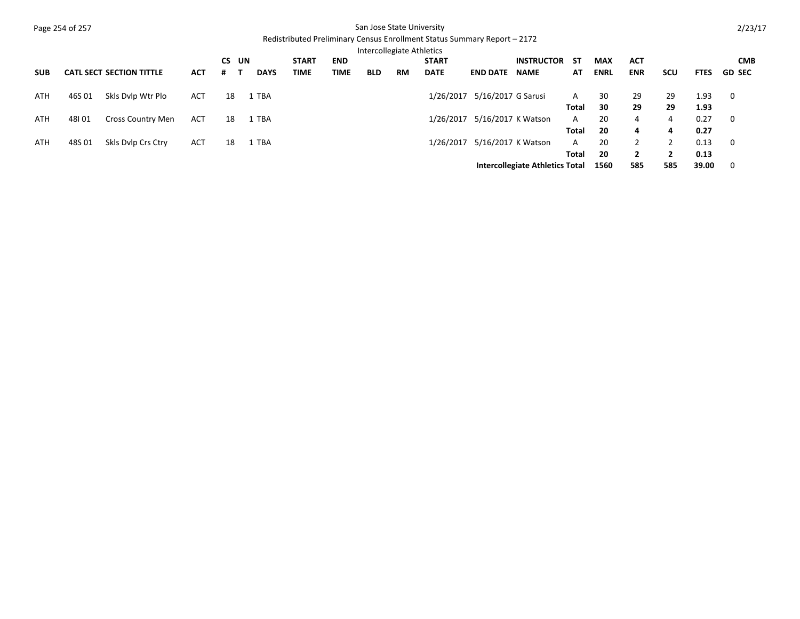|            | Page 254 of 257 |                                 |            |     |    |             |              |             | San Jose State University |           |                                                                          |                    |                                        |       |             |                |                |             | 2/23/17       |
|------------|-----------------|---------------------------------|------------|-----|----|-------------|--------------|-------------|---------------------------|-----------|--------------------------------------------------------------------------|--------------------|----------------------------------------|-------|-------------|----------------|----------------|-------------|---------------|
|            |                 |                                 |            |     |    |             |              |             |                           |           | Redistributed Preliminary Census Enrollment Status Summary Report - 2172 |                    |                                        |       |             |                |                |             |               |
|            |                 |                                 |            |     |    |             |              |             | Intercollegiate Athletics |           |                                                                          |                    |                                        |       |             |                |                |             |               |
|            |                 |                                 |            | CS. | UN |             | <b>START</b> | <b>END</b>  |                           |           | <b>START</b>                                                             |                    | <b>INSTRUCTOR</b>                      | -ST   | <b>MAX</b>  | <b>ACT</b>     |                |             | <b>CMB</b>    |
| <b>SUB</b> |                 | <b>CATL SECT SECTION TITTLE</b> | <b>ACT</b> | #   |    | <b>DAYS</b> | <b>TIME</b>  | <b>TIME</b> | <b>BLD</b>                | <b>RM</b> | <b>DATE</b>                                                              | <b>END DATE</b>    | <b>NAME</b>                            | AT    | <b>ENRL</b> | <b>ENR</b>     | scu            | <b>FTES</b> | <b>GD SEC</b> |
| ATH        | 46S 01          | Skls Dylp Wtr Plo               | <b>ACT</b> | 18  |    | <b>TBA</b>  |              |             |                           |           | 1/26/2017                                                                | 5/16/2017 G Sarusi |                                        | A     | 30          | 29             | 29             | 1.93        | 0             |
|            |                 |                                 |            |     |    |             |              |             |                           |           |                                                                          |                    |                                        | Total | 30          | 29             | 29             | 1.93        |               |
| ATH        | 48101           | <b>Cross Country Men</b>        | <b>ACT</b> | 18  |    | <b>TBA</b>  |              |             |                           |           | 1/26/2017                                                                | 5/16/2017 K Watson |                                        | A     | 20          | 4              | $\overline{4}$ | 0.27        | 0             |
|            |                 |                                 |            |     |    |             |              |             |                           |           |                                                                          |                    |                                        | Total | 20          | 4              | 4              | 0.27        |               |
| <b>ATH</b> | 48S 01          | Skls Dylp Crs Ctry              | <b>ACT</b> | 18  |    | TBA         |              |             |                           |           | 1/26/2017                                                                | 5/16/2017 K Watson |                                        | A     | 20          | $\overline{2}$ | 2              | 0.13        | 0             |
|            |                 |                                 |            |     |    |             |              |             |                           |           |                                                                          |                    |                                        | Total | 20          | $\overline{2}$ | $\overline{2}$ | 0.13        |               |
|            |                 |                                 |            |     |    |             |              |             |                           |           |                                                                          |                    | <b>Intercollegiate Athletics Total</b> |       | 1560        | 585            | 585            | 39.00       | 0             |